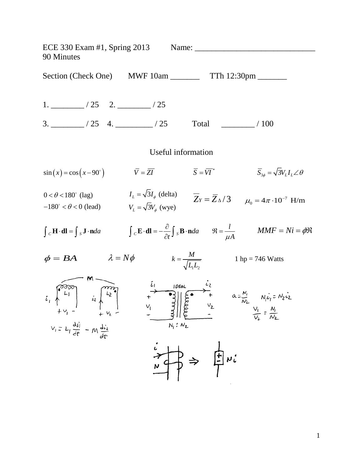ECE 330 Exam #1, Spring 2013 Name: \_\_\_\_\_\_\_\_\_\_\_\_\_\_\_\_\_\_\_\_\_\_\_\_\_\_\_\_\_ 90 Minutes Section (Check One) MWF 10am \_\_\_\_\_\_\_\_ TTh 12:30pm \_\_\_\_\_\_ 1. \_\_\_\_\_\_\_\_ / 25 2. \_\_\_\_\_\_\_\_ / 25 3. 125 4. 125 1  $\frac{1}{25}$  100 Useful information  $\sin(x) = \cos(x - 90^\circ)$   $\qquad \qquad \overline{Y} = \overline{ZI}$   $\qquad \qquad \overline{S} = \overline{VI}^*$   $\qquad \qquad \overline{S}_{3\phi} = \sqrt{3}V_LI_L\angle\theta$  $\overline{Z}_Y = \overline{Z}_{\Delta}/3$   $\mu_0 = 4\pi \cdot 10^{-7}$  H/m  $I_L = \sqrt{3}I_{\phi}$  (delta)<br>  $I_L = \sqrt{3}I_{\phi}$  (delta)  $0 < \theta < 180^\circ$  (lag)  $-180^\circ < \theta < 0$  (lead)  $V_L = \sqrt{3}V_\phi$  (wye)  $\int_{C} \mathbf{H} \cdot d\mathbf{l} = \int_{S} \mathbf{J} \cdot \mathbf{n} da$   $\int_{C} \mathbf{E} \cdot d\mathbf{l} = -\frac{\partial}{\partial t} \int_{S} \mathbf{B} \cdot \mathbf{n} da$   $\Re = \frac{l}{\mu A}$  $\mathfrak{R} = \frac{l}{i}$   $MMF = Ni = \phi \mathfrak{R}$  $\phi = BA$   $\lambda = N\phi$  $k = \frac{M}{\sqrt{L_1 L_2}}$  1 hp = 746 Watts 1 $-2$ E<br>  $\begin{bmatrix} 1 & 1 & 1 & 1 \\ 1 & 1 & 1 & 1 \\ 1 & 1 & 1 & 1 \\ 1 & 1 & 1 & 1 \\ 1 & 1 & 1 & 1 \\ 1 & 1 & 1 & 1 \\ 1 & 1 & 1 & 1 \\ 1 & 1 & 1 & 1 \\ 1 & 1 & 1 & 1 \\ 1 & 1 & 1 & 1 \\ 1 & 1 & 1 & 1 \\ 1 & 1 & 1 & 1 \\ 1 & 1 & 1 & 1 \\ 1 & 1 & 1 & 1 \\ 1 & 1 & 1 & 1 \\ 1 & 1 & 1 & 1 \\ 1 & 1 & 1 & 1 \\ 1 & 1 &$  $V_i = L_i \frac{di}{dt} - M \frac{di}{dt}$  $\frac{1}{n}$   $\Rightarrow$   $\frac{1}{n}$   $\Rightarrow$   $\frac{1}{n}$   $\Rightarrow$   $\frac{1}{n}$   $\Rightarrow$   $\frac{1}{n}$ 

1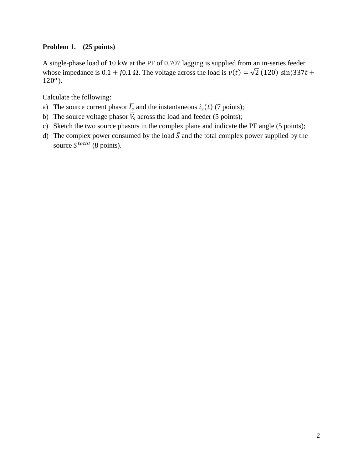## **Problem 1. (25 points)**

A single-phase load of 10 kW at the PF of 0.707 lagging is supplied from an in-series feeder whose impedance is 0.1 + j0.1  $\Omega$ . The voltage across the load is  $v(t) = \sqrt{2}$  (120) sin(337t +  $120°$ ).

Calculate the following:

- a) The source current phasor  $\overline{I_s}$  and the instantaneous  $i_s(t)$  (7 points);
- b) The source voltage phasor  $\overline{V_s}$  across the load and feeder (5 points);
- c) Sketch the two source phasors in the complex plane and indicate the PF angle (5 points);
- d) The complex power consumed by the load  $\overline{S}$  and the total complex power supplied by the source  $\bar{S}^{total}$  (8 points).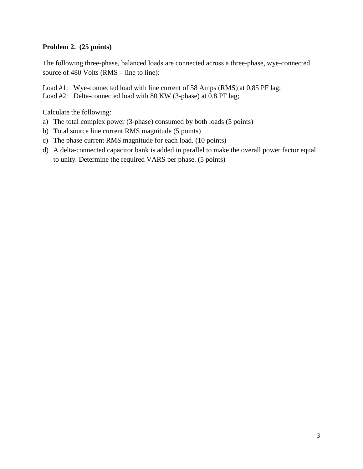## **Problem 2. (25 points)**

The following three-phase, balanced loads are connected across a three-phase, wye-connected source of 480 Volts (RMS – line to line):

Load #1: Wye-connected load with line current of 58 Amps (RMS) at 0.85 PF lag; Load #2: Delta-connected load with 80 KW (3-phase) at 0.8 PF lag;

Calculate the following:

- a) The total complex power (3-phase) consumed by both loads (5 points)
- b) Total source line current RMS magnitude (5 points)
- c) The phase current RMS magnitude for each load. (10 points)
- d) A delta-connected capacitor bank is added in parallel to make the overall power factor equal to unity. Determine the required VARS per phase. (5 points)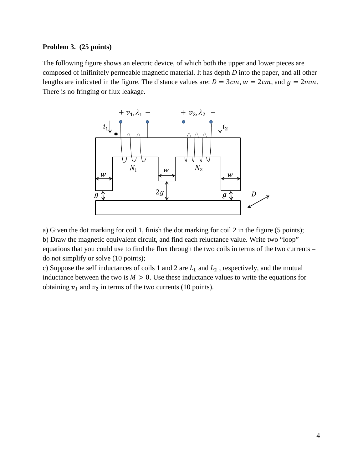## **Problem 3. (25 points)**

The following figure shows an electric device, of which both the upper and lower pieces are composed of inifinitely permeable magnetic material. It has depth *D* into the paper, and all other lengths are indicated in the figure. The distance values are:  $D = 3cm$ ,  $w = 2cm$ , and  $q = 2mm$ . There is no fringing or flux leakage.



a) Given the dot marking for coil 1, finish the dot marking for coil 2 in the figure (5 points); b) Draw the magnetic equivalent circuit, and find each reluctance value. Write two "loop" equations that you could use to find the flux through the two coils in terms of the two currents – do not simplify or solve (10 points);

c) Suppose the self inductances of coils 1 and 2 are  $L_1$  and  $L_2$ , respectively, and the mutual inductance between the two is  $M > 0$ . Use these inductance values to write the equations for obtaining  $v_1$  and  $v_2$  in terms of the two currents (10 points).